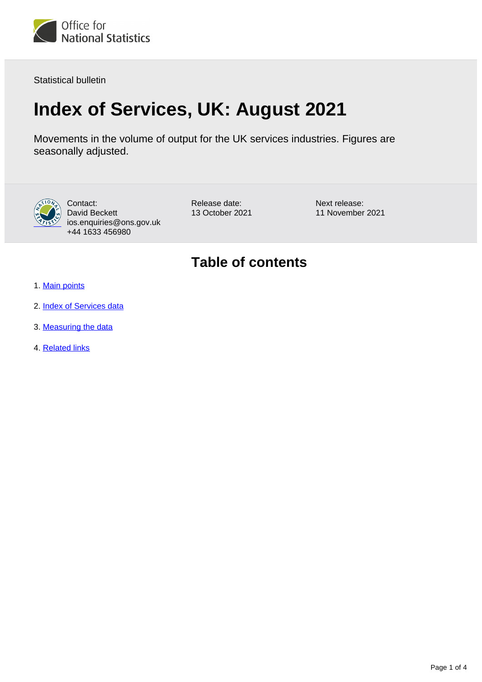

Statistical bulletin

# **Index of Services, UK: August 2021**

Movements in the volume of output for the UK services industries. Figures are seasonally adjusted.



Contact: David Beckett ios.enquiries@ons.gov.uk +44 1633 456980

Release date: 13 October 2021 Next release: 11 November 2021

## **Table of contents**

- 1. [Main points](#page-1-0)
- 2. [Index of Services data](#page-1-1)
- 3. [Measuring the data](#page-1-2)
- 4. [Related links](#page-3-0)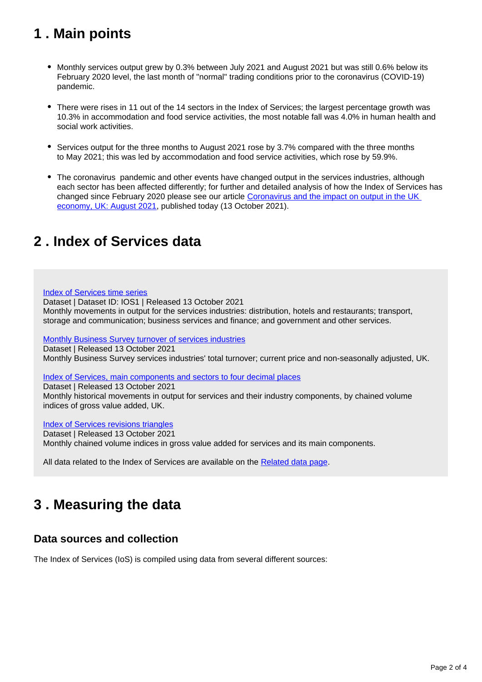## <span id="page-1-0"></span>**1 . Main points**

- Monthly services output grew by 0.3% between July 2021 and August 2021 but was still 0.6% below its February 2020 level, the last month of "normal" trading conditions prior to the coronavirus (COVID-19) pandemic.
- There were rises in 11 out of the 14 sectors in the Index of Services; the largest percentage growth was 10.3% in accommodation and food service activities, the most notable fall was 4.0% in human health and social work activities.
- Services output for the three months to August 2021 rose by 3.7% compared with the three months to May 2021; this was led by accommodation and food service activities, which rose by 59.9%.
- The coronavirus pandemic and other events have changed output in the services industries, although each sector has been affected differently; for further and detailed analysis of how the Index of Services has changed since February 2020 please see our article [Coronavirus and the impact on output in the UK](https://www.ons.gov.uk/releases/coronavirusandtheimpactonoutputintheukeconomyaugust2021)  [economy, UK: August 2021](https://www.ons.gov.uk/releases/coronavirusandtheimpactonoutputintheukeconomyaugust2021), published today (13 October 2021).

## <span id="page-1-1"></span>**2 . Index of Services data**

[Index of Services time series](https://www.ons.gov.uk/economy/economicoutputandproductivity/output/datasets/indexofservices)

Dataset | Dataset ID: IOS1 | Released 13 October 2021 Monthly movements in output for the services industries: distribution, hotels and restaurants; transport, storage and communication; business services and finance; and government and other services.

[Monthly Business Survey turnover of services industries](https://www.ons.gov.uk/economy/economicoutputandproductivity/output/datasets/monthlybusinesssurveymbsturnoverofservicesindustries)

Dataset | Released 13 October 2021

Monthly Business Survey services industries' total turnover; current price and non-seasonally adjusted, UK.

[Index of Services, main components and sectors to four decimal places](https://www.ons.gov.uk/economy/economicoutputandproductivity/output/datasets/indexofservicesandmaincomponentsto4dp)

Dataset | Released 13 October 2021 Monthly historical movements in output for services and their industry components, by chained volume indices of gross value added, UK.

[Index of Services revisions triangles](https://www.ons.gov.uk/economy/economicoutputandproductivity/output/datasets/indexofservicesrevisionstriangles)

Dataset | Released 13 October 2021

Monthly chained volume indices in gross value added for services and its main components.

All data related to the Index of Services are available on the [Related data page.](https://www.ons.gov.uk/economy/economicoutputandproductivity/output/bulletins/indexofservices/august2021/relateddata)

## <span id="page-1-2"></span>**3 . Measuring the data**

### **Data sources and collection**

The Index of Services (IoS) is compiled using data from several different sources: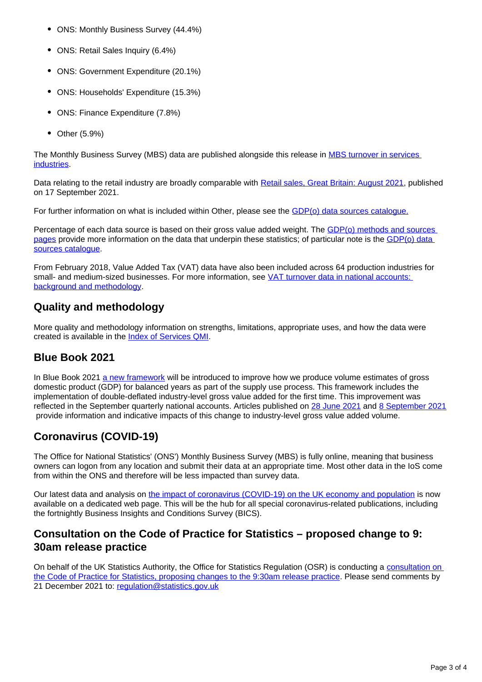- ONS: Monthly Business Survey (44.4%)
- ONS: Retail Sales Inquiry (6.4%)
- ONS: Government Expenditure (20.1%)
- ONS: Households' Expenditure (15.3%)
- ONS: Finance Expenditure (7.8%)
- $\bullet$ Other (5.9%)

The Monthly Business Survey (MBS) data are published alongside this release in [MBS turnover in services](https://www.ons.gov.uk/economy/economicoutputandproductivity/output/datasets/monthlybusinesssurveymbsturnoverofservicesindustries)  [industries.](https://www.ons.gov.uk/economy/economicoutputandproductivity/output/datasets/monthlybusinesssurveymbsturnoverofservicesindustries)

Data relating to the retail industry are broadly comparable with [Retail sales, Great Britain: August 2021,](https://www.ons.gov.uk/businessindustryandtrade/retailindustry/bulletins/retailsales/august2021) published on 17 September 2021.

For further information on what is included within Other, please see the [GDP\(o\) data sources catalogue.](https://www.ons.gov.uk/economy/grossdomesticproductgdp/datasets/gdpodatasourcescatalogue)

Percentage of each data source is based on their gross value added weight. The [GDP\(o\) methods and sources](https://www.ons.gov.uk/economy/economicoutputandproductivity/output/methodologies/indexofservicesios)  [pages](https://www.ons.gov.uk/economy/economicoutputandproductivity/output/methodologies/indexofservicesios) provide more information on the data that underpin these statistics; of particular note is the GDP(o) data [sources catalogue.](https://www.ons.gov.uk/economy/grossdomesticproductgdp/datasets/gdpodatasourcescatalogue)

From February 2018, Value Added Tax (VAT) data have also been included across 64 production industries for small- and medium-sized businesses. For more information, see VAT turnover data in national accounts: [background and methodology.](https://www.ons.gov.uk/economy/grossdomesticproductgdp/methodologies/vatturnoverdatainnationalaccountsbackgroundandmethodology)

### **Quality and methodology**

More quality and methodology information on strengths, limitations, appropriate uses, and how the data were created is available in the [Index of Services QMI.](https://www.ons.gov.uk/economy/nationalaccounts/uksectoraccounts/methodologies/indexofservicesqmi)

### **Blue Book 2021**

In Blue Book 2021 [a new framework](https://www.ons.gov.uk/economy/nationalaccounts/uksectoraccounts/articles/producinganalternativeapproachtogdpusingexperimentaldoubledeflationestimates/2020-11-02) will be introduced to improve how we produce volume estimates of gross domestic product (GDP) for balanced years as part of the supply use process. This framework includes the implementation of double-deflated industry-level gross value added for the first time. This improvement was reflected in the September quarterly national accounts. Articles published on [28 June 2021](https://www.ons.gov.uk/releases/impactofdoubledeflationonindustrychainvolumemeasureannualestimates1997to2017) and [8 September 2021](https://www.ons.gov.uk/releases/impactofbluebook2021changesonquarterlyvolumeestimatesofgrossdomesticproductbyindustry) provide information and indicative impacts of this change to industry-level gross value added volume.

### **Coronavirus (COVID-19)**

The Office for National Statistics' (ONS') Monthly Business Survey (MBS) is fully online, meaning that business owners can logon from any location and submit their data at an appropriate time. Most other data in the IoS come from within the ONS and therefore will be less impacted than survey data.

Our latest data and analysis on [the impact of coronavirus \(COVID-19\) on the UK economy and population](https://www.ons.gov.uk/peoplepopulationandcommunity/healthandsocialcare/conditionsanddiseases) is now available on a dedicated web page. This will be the hub for all special coronavirus-related publications, including the fortnightly Business Insights and Conditions Survey (BICS).

### **Consultation on the Code of Practice for Statistics – proposed change to 9: 30am release practice**

On behalf of the UK Statistics Authority, the Office for Statistics Regulation (OSR) is conducting a consultation on [the Code of Practice for Statistics, proposing changes to the 9:30am release practice](https://osr.statisticsauthority.gov.uk/what-we-do/code-of-practice/consultation-on-the-code-of-practice-for-statistics-proposed-change-to-9-30am-release-practice/). Please send comments by 21 December 2021 to: [regulation@statistics.gov.uk](mailto:regulation@statistics.gov.uk)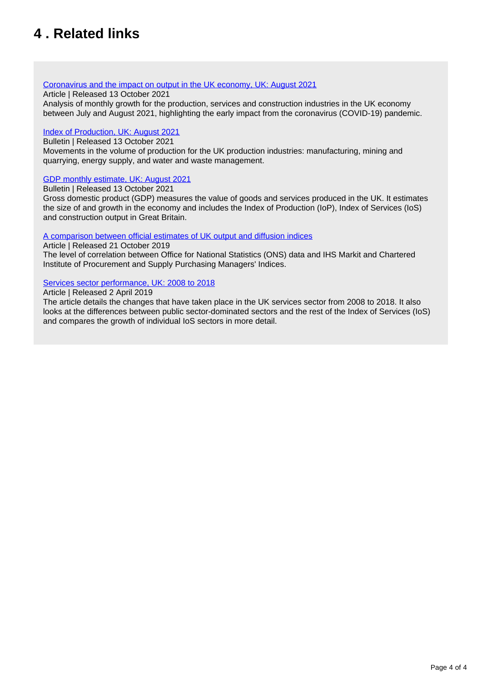## <span id="page-3-0"></span>**4 . Related links**

#### [Coronavirus and the impact on output in the UK economy, UK: August 2021](https://www.ons.gov.uk/economy/grossdomesticproductgdp/articles/coronavirusandtheimpactonoutputintheukeconomy/June2020)

Article | Released 13 October 2021

Analysis of monthly growth for the production, services and construction industries in the UK economy between July and August 2021, highlighting the early impact from the coronavirus (COVID-19) pandemic.

#### [Index of Production, UK: August 2021](https://www.ons.gov.uk/economy/economicoutputandproductivity/output/bulletins/indexofproduction/august2021)

Bulletin | Released 13 October 2021

Movements in the volume of production for the UK production industries: manufacturing, mining and quarrying, energy supply, and water and waste management.

#### [GDP monthly estimate, UK: August 2021](https://www.ons.gov.uk/releases/gdpmonthlyestimateukaugust2021)

Bulletin | Released 13 October 2021

Gross domestic product (GDP) measures the value of goods and services produced in the UK. It estimates the size of and growth in the economy and includes the Index of Production (IoP), Index of Services (IoS) and construction output in Great Britain.

#### [A comparison between official estimates of UK output and diffusion indices](https://www.ons.gov.uk/economy/nationalaccounts/uksectoraccounts/compendium/economicreview/october2019/comparingonsseconomicdatawithihsmarkitandcipspurchasingmanagersindexsurveys)

Article | Released 21 October 2019 The level of correlation between Office for National Statistics (ONS) data and IHS Markit and Chartered Institute of Procurement and Supply Purchasing Managers' Indices.

#### [Services sector performance, UK: 2008 to 2018](https://www.ons.gov.uk/economy/economicoutputandproductivity/output/articles/servicessectoruk/2008to2018)

#### Article | Released 2 April 2019

The article details the changes that have taken place in the UK services sector from 2008 to 2018. It also looks at the differences between public sector-dominated sectors and the rest of the Index of Services (IoS) and compares the growth of individual IoS sectors in more detail.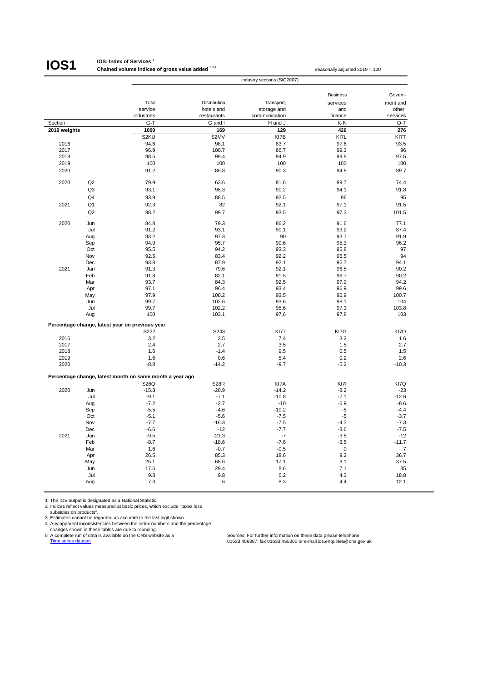## **IOS1**

#### **IOS: Index of Services** <sup>1</sup>

**Chained volume indices of gross value added** <sup>2,3,4</sup> seasonally adjusted 2019 = 100 Industry sections (SIC2007)

|              |                |                                                          |              |               | <b>Business</b> | Govern-  |
|--------------|----------------|----------------------------------------------------------|--------------|---------------|-----------------|----------|
|              |                | Total                                                    | Distribution | Transport,    | services        | ment and |
|              |                | service                                                  | hotels and   | storage and   | and             | other    |
|              |                | industries                                               | restaurants  | communication | finance         | services |
| Section      |                | $G-T$                                                    | G and I      | H and J       | K-N             | O-T      |
| 2019 weights |                | 1000                                                     | 169          | 129           | 426             | 276      |
|              |                | S <sub>2</sub> KU                                        | S2MV         | KI7B          | KI7L            | KI7T     |
| 2016         |                | 94.6                                                     | 98.1         | 83.7          | 97.6            | 93.5     |
| 2017         |                | 96.9                                                     | 100.7        | 86.7          | 99.3            | 96       |
| 2018         |                | 98.5                                                     | 99.4         | 94.9          | 99.8            | 97.5     |
| 2019         |                | 100                                                      | 100          | 100           | 100             | 100      |
| 2020         |                | 91.2                                                     | 85.8         | 90.3          | 94.8            | 89.7     |
| 2020         | Q2             | 79.9                                                     | 63.6         | 81.6          | 89.7            | 74.4     |
|              | Q <sub>3</sub> | 93.1                                                     | 95.3         | 90.2          | 94.1            | 91.8     |
|              | Q4             | 93.9                                                     | 88.5         | 92.5          | 96              | 95       |
| 2021         | Q <sub>1</sub> | 92.3                                                     | 82           | 92.1          | 97.1            | 91.5     |
|              | Q2             | 98.2                                                     | 99.7         | 93.5          | 97.3            | 101.5    |
|              |                |                                                          |              |               |                 |          |
| 2020         | Jun            | 84.8                                                     | 79.3         | 86.2          | 91.6            | 77.1     |
|              | Jul            | 91.2                                                     | 93.1         | 90.1          | 93.2            | 87.4     |
|              | Aug            | 93.2                                                     | 97.3         | 90            | 93.7            | 91.9     |
|              | Sep            | 94.9                                                     | 95.7         | 90.6          | 95.3            | 96.2     |
|              | Oct<br>Nov     | 95.5                                                     | 94.2         | 93.3          | 95.8            | 97<br>94 |
|              | Dec            | 92.5<br>93.8                                             | 83.4<br>87.9 | 92.2<br>92.1  | 95.5<br>96.7    | 94.1     |
|              |                |                                                          |              |               |                 |          |
| 2021         | Jan            | 91.3                                                     | 79.6         | 92.1          | 96.5            | 90.2     |
|              | Feb            | 91.8                                                     | 82.1         | 91.5          | 96.7            | 90.2     |
|              | Mar            | 93.7                                                     | 84.3         | 92.5          | 97.9            | 94.2     |
|              | Apr            | 97.1                                                     | 96.4         | 93.4          | 96.9            | 99.6     |
|              | May            | 97.9                                                     | 100.2        | 93.5          | 96.9            | 100.7    |
|              | Jun            | 99.7                                                     | 102.6        | 93.6          | 98.1            | 104      |
|              | Jul            | 99.7                                                     | 102.2        | 95.6          | 97.3            | 103.8    |
|              | Aug            | 100                                                      | 103.1        | 97.6          | 97.8            | 103      |
|              |                | Percentage change, latest year on previous year          |              |               |                 |          |
|              |                | S222                                                     | S243         | <b>KI77</b>   | KI7G            | KI7O     |
| 2016         |                | 3.2                                                      | 2.5          | 7.4           | 3.2             | 1.6      |
| 2017         |                | 2.4                                                      | 2.7          | 3.5           | 1.8             | 2.7      |
| 2018         |                | 1.6                                                      | $-1.4$       | 9.5           | 0.5             | 1.5      |
| 2019         |                | 1.6                                                      | 0.6          | 5.4           | 0.2             | 2.6      |
| 2020         |                | $-8.8$                                                   | $-14.2$      | $-9.7$        | $-5.2$          | $-10.3$  |
|              |                | Percentage change, latest month on same month a year ago |              |               |                 |          |
|              |                | S26Q                                                     | <b>S28R</b>  | KI7A          | KI7I            | KI7Q     |
| 2020         | Jun            | $-15.3$                                                  | $-20.9$      | $-14.2$       | $-8.2$          | $-23$    |
|              | Jul            | $-9.1$                                                   | $-7.1$       | $-10.8$       | $-7.1$          | $-12.6$  |
|              | Aug            | $-7.2$                                                   | $-2.7$       | $-10$         | $-6.9$          | $-8.6$   |
|              | Sep            | $-5.5$                                                   | $-4.6$       | $-10.2$       | $-5$            | $-4.4$   |
|              | Oct            | $-5.1$                                                   | $-5.6$       | $-7.5$        | $-5$            | $-3.7$   |
|              | Nov            | $-7.7$                                                   | $-16.3$      | $-7.5$        | $-4.3$          | $-7.3$   |
|              | Dec            | $-6.6$                                                   | $-12$        | $-7.7$        | $-3.6$          | $-7.5$   |
| 2021         | Jan            | $-9.5$                                                   | $-21.3$      | $-7$          | $-3.8$          | $-12$    |
|              | Feb            | $-8.7$                                                   | $-18.6$      | $-7.6$        | $-3.5$          | $-11.7$  |
|              | Mar            | 1.6                                                      | $-0.7$       | $-0.5$        | 0               | 7        |
|              | Apr            | 26.5                                                     | 85.3         | 18.6          | 9.2             | 36.7     |
|              | May            | 25.1                                                     | 68.6         | 17.1          | 9.1             | 37.5     |
|              | Jun            | 17.6                                                     | 29.4         | 8.6           | 7.1             | 35       |
|              | Jul            | 9.3                                                      | 9.8          | 6.2           | 4.3             | 18.8     |
|              | Aug            | 7.3                                                      | 6            | 8.3           | 4.4             | 12.1     |
|              |                |                                                          |              |               |                 |          |

1 The IOS output is designated as a National Statistic. 2 Indices reflect values measured at basic prices, which exclude "taxes less subsidies on products".

3 Estimates cannot be regarded as accurate to the last digit shown.<br>
4 Any apparent inconsistencies between the index numbers and the percentage<br>
changes shown in these tables are due to rounding.<br>
5 A complete run of data